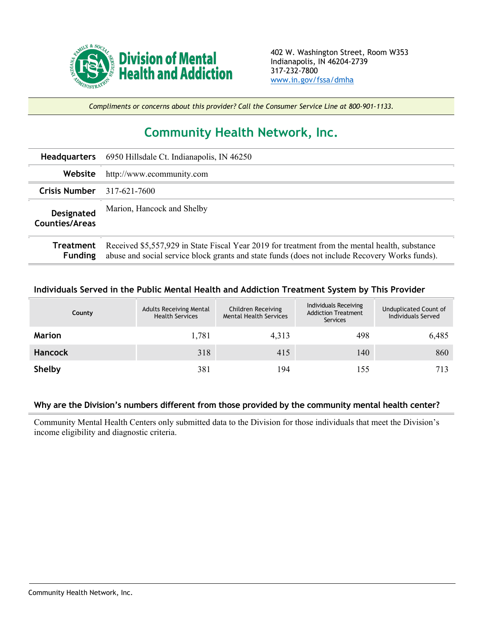

*Compliments or concerns about this provider? Call the Consumer Service Line at 800-901-1133.*

## **Community Health Network, Inc.**

| <b>Headquarters</b>                        | 6950 Hillsdale Ct. Indianapolis, IN 46250                                                                                                                                                        |
|--------------------------------------------|--------------------------------------------------------------------------------------------------------------------------------------------------------------------------------------------------|
| Website                                    | http://www.ecommunity.com                                                                                                                                                                        |
| <b>Crisis Number</b>                       | 317-621-7600                                                                                                                                                                                     |
| <b>Designated</b><br><b>Counties/Areas</b> | Marion, Hancock and Shelby                                                                                                                                                                       |
| Treatment<br><b>Funding</b>                | Received \$5,557,929 in State Fiscal Year 2019 for treatment from the mental health, substance<br>abuse and social service block grants and state funds (does not include Recovery Works funds). |

## **Individuals Served in the Public Mental Health and Addiction Treatment System by This Provider**

| County         | <b>Adults Receiving Mental</b><br><b>Health Services</b> | Children Receiving<br><b>Mental Health Services</b> | Individuals Receiving<br><b>Addiction Treatment</b><br>Services | Unduplicated Count of<br>Individuals Served |
|----------------|----------------------------------------------------------|-----------------------------------------------------|-----------------------------------------------------------------|---------------------------------------------|
| <b>Marion</b>  | 1,781                                                    | 4,313                                               | 498                                                             | 6,485                                       |
| <b>Hancock</b> | 318                                                      | 415                                                 | 140                                                             | 860                                         |
| Shelby         | 381                                                      | 194                                                 | 155                                                             | 713                                         |

## **Why are the Division's numbers different from those provided by the community mental health center?**

Community Mental Health Centers only submitted data to the Division for those individuals that meet the Division's income eligibility and diagnostic criteria.